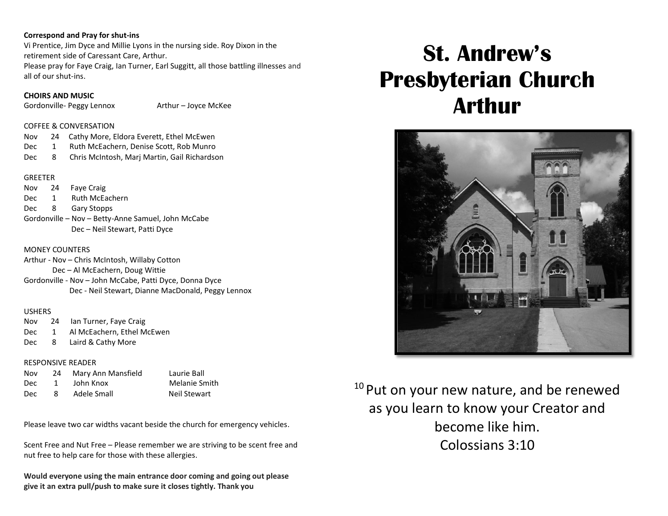#### **Correspond and Pray for shut-ins**

Vi Prentice, Jim Dyce and Millie Lyons in the nursing side. Roy Dixon in the retirement side of Caressant Care, Arthur.

Please pray for Faye Craig, Ian Turner, Earl Suggitt, all those battling illnesses and all of our shut-ins.

## **CHOIRS AND MUSIC**

Gordonville- Peggy Lennox Arthur – Joyce McKee

## COFFEE & CONVERSATION

| Nov  |     | 24 Cathy More, Eldora Everett, Ethel McEwen  |
|------|-----|----------------------------------------------|
| Dec. | 1   | Ruth McEachern, Denise Scott, Rob Munro      |
| Dec. | - 8 | Chris McIntosh, Marj Martin, Gail Richardson |

## **GREETER**

Nov 24 Faye Craig Dec 1 Ruth McEachern Dec 8 Gary Stopps Gordonville – Nov – Betty-Anne Samuel, John McCabe Dec – Neil Stewart, Patti Dyce

## MONEY COUNTERS

Arthur - Nov – Chris McIntosh, Willaby Cotton Dec – Al McEachern, Doug Wittie Gordonville - Nov – John McCabe, Patti Dyce, Donna Dyce Dec - Neil Stewart, Dianne MacDonald, Peggy Lennox

## USHERS

Nov 24 Ian Turner, Faye Craig Dec 1 Al McEachern, Ethel McEwen Dec 8 Laird & Cathy More

## RESPONSIVE READER

| Nov        | 24 | Mary Ann Mansfield |
|------------|----|--------------------|
| <b>Dec</b> | 1  | John Knox          |
| Dec        | 8  | Adele Small        |

Laurie Ball Melanie Smith Neil Stewart

Please leave two car widths vacant beside the church for emergency vehicles.

Scent Free and Nut Free – Please remember we are striving to be scent free and nut free to help care for those with these allergies.

**Would everyone using the main entrance door coming and going out please give it an extra pull/push to make sure it closes tightly. Thank you**

# **St. Andrew's Presbyterian Church Arthur**



<sup>10</sup> Put on your new nature, and be renewed as you learn to know your Creator and become like him. Colossians 3:10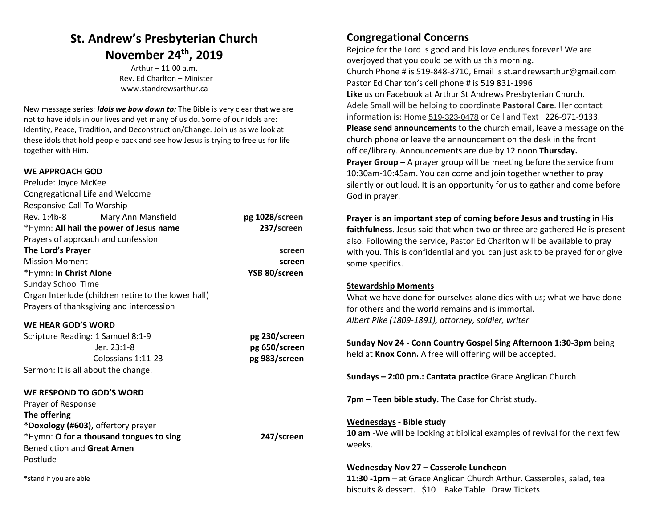## **St. Andrew's Presbyterian Church November 24th , 2019**

Arthur – 11:00 a.m. Rev. Ed Charlton – Minister [www.standrewsarthur.ca](http://www.standrewsarthur.ca/)

New message series: *Idols we bow down to:* The Bible is very clear that we are not to have idols in our lives and yet many of us do. Some of our Idols are: Identity, Peace, Tradition, and Deconstruction/Change. Join us as we look at these idols that hold people back and see how Jesus is trying to free us for life together with Him.

## **WE APPROACH GOD**

| pg 1028/screen |
|----------------|
| 237/screen     |
|                |
| screen         |
| screen         |
| YSB 80/screen  |
|                |
|                |
|                |
|                |
| pg 230/screen  |
| pg 650/screen  |
| pg 983/screen  |
|                |
|                |
|                |
|                |
|                |
| 247/screen     |
|                |
|                |
|                |
|                |

## **Congregational Concerns**

Rejoice for the Lord is good and his love endures forever! We are overjoyed that you could be with us this morning. Church Phone # is 519-848-3710, Email is st.andrewsarthur@gmail.com Pastor Ed Charlton's cell phone # is 519 831-1996 **Like** us on Facebook at Arthur St Andrews Presbyterian Church. Adele Small will be helping to coordinate **Pastoral Care**. Her contact information is: Home 519-323-0478 or Cell and Text [226-971-9133.](tel:226-971-9133) **Please send announcements** to the church email, leave a message on the church phone or leave the announcement on the desk in the front office/library. Announcements are due by 12 noon **Thursday. Prayer Group –** A prayer group will be meeting before the service from 10:30am-10:45am. You can come and join together whether to pray silently or out loud. It is an opportunity for us to gather and come before God in prayer.

**Prayer is an important step of coming before Jesus and trusting in His faithfulness**. Jesus said that when two or three are gathered He is present also. Following the service, Pastor Ed Charlton will be available to pray with you. This is confidential and you can just ask to be prayed for or give some specifics.

## **Stewardship Moments**

What we have done for ourselves alone dies with us; what we have done for others and the world remains and is immortal. *Albert Pike (1809-1891), attorney, soldier, writer* 

**Sunday Nov 24 - Conn Country Gospel Sing Afternoon 1:30-3pm** being held at **Knox Conn.** A free will offering will be accepted.

**Sundays – 2:00 pm.: Cantata practice** Grace Anglican Church

**7pm – Teen bible study.** The Case for Christ study.

### **Wednesdays - Bible study**

**10 am** -We will be looking at biblical examples of revival for the next few weeks.

### **Wednesday Nov 27 – Casserole Luncheon**

**11:30 -1pm** – at Grace Anglican Church Arthur. Casseroles, salad, tea biscuits & dessert. \$10 Bake Table Draw Tickets